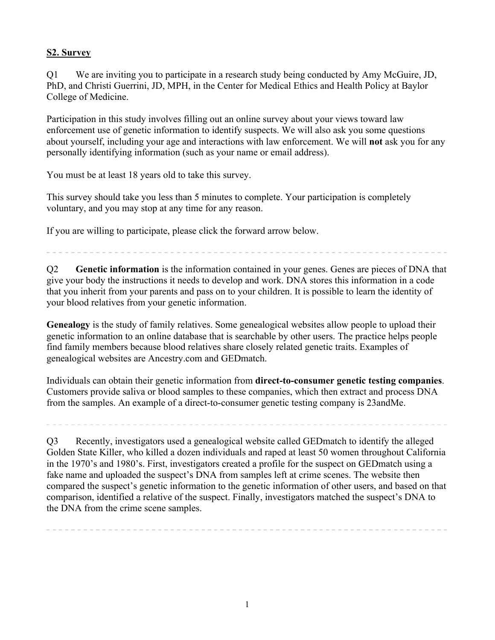## **S2. Survey**

Q1 We are inviting you to participate in a research study being conducted by Amy McGuire, JD, PhD, and Christi Guerrini, JD, MPH, in the Center for Medical Ethics and Health Policy at Baylor College of Medicine.

Participation in this study involves filling out an online survey about your views toward law enforcement use of genetic information to identify suspects. We will also ask you some questions about yourself, including your age and interactions with law enforcement. We will **not** ask you for any personally identifying information (such as your name or email address).

You must be at least 18 years old to take this survey.

This survey should take you less than 5 minutes to complete. Your participation is completely voluntary, and you may stop at any time for any reason.

If you are willing to participate, please click the forward arrow below.

Q2 **Genetic information** is the information contained in your genes. Genes are pieces of DNA that give your body the instructions it needs to develop and work. DNA stores this information in a code that you inherit from your parents and pass on to your children. It is possible to learn the identity of your blood relatives from your genetic information.

**Genealogy** is the study of family relatives. Some genealogical websites allow people to upload their genetic information to an online database that is searchable by other users. The practice helps people find family members because blood relatives share closely related genetic traits. Examples of genealogical websites are Ancestry.com and GEDmatch.

Individuals can obtain their genetic information from **direct-to-consumer genetic testing companies**. Customers provide saliva or blood samples to these companies, which then extract and process DNA from the samples. An example of a direct-to-consumer genetic testing company is 23andMe.

Q3 Recently, investigators used a genealogical website called GEDmatch to identify the alleged Golden State Killer, who killed a dozen individuals and raped at least 50 women throughout California in the 1970's and 1980's. First, investigators created a profile for the suspect on GEDmatch using a fake name and uploaded the suspect's DNA from samples left at crime scenes. The website then compared the suspect's genetic information to the genetic information of other users, and based on that comparison, identified a relative of the suspect. Finally, investigators matched the suspect's DNA to the DNA from the crime scene samples.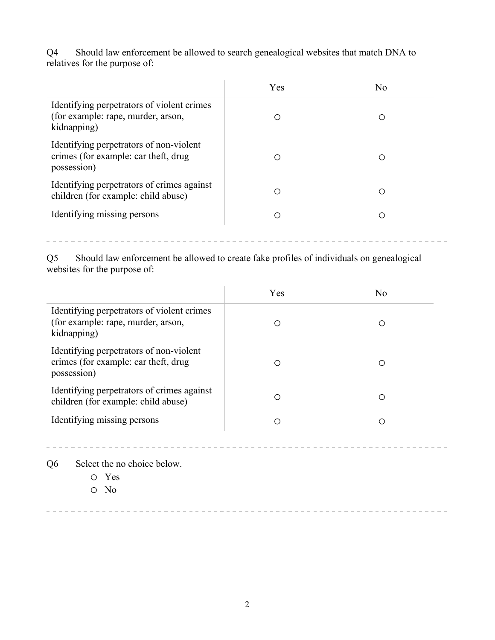Q4 Should law enforcement be allowed to search genealogical websites that match DNA to relatives for the purpose of:

|                                                                                                 | Yes | No. |
|-------------------------------------------------------------------------------------------------|-----|-----|
| Identifying perpetrators of violent crimes<br>(for example: rape, murder, arson,<br>kidnapping) |     |     |
| Identifying perpetrators of non-violent<br>crimes (for example: car theft, drug<br>possession)  | ∩   | ∩   |
| Identifying perpetrators of crimes against<br>children (for example: child abuse)               | ∩   | ∩   |
| Identifying missing persons                                                                     | 〔 〕 | ∩   |

Q5 Should law enforcement be allowed to create fake profiles of individuals on genealogical websites for the purpose of:

 $\sim$   $-$  .

 $- - - - -$ 

|                                                                                                 | Yes | N <sub>0</sub> |
|-------------------------------------------------------------------------------------------------|-----|----------------|
| Identifying perpetrators of violent crimes<br>(for example: rape, murder, arson,<br>kidnapping) | ∩   | ∩              |
| Identifying perpetrators of non-violent<br>crimes (for example: car theft, drug<br>possession)  |     | ∩              |
| Identifying perpetrators of crimes against<br>children (for example: child abuse)               | ∩   | ∩              |
| Identifying missing persons                                                                     | ∩   | ∩              |
| Select the no choice below.<br>Q6<br>Yes<br>N <sub>0</sub>                                      |     |                |
|                                                                                                 |     |                |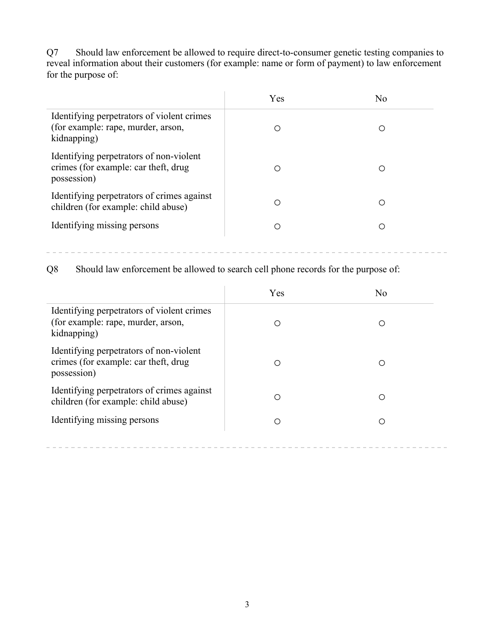Q7 Should law enforcement be allowed to require direct-to-consumer genetic testing companies to reveal information about their customers (for example: name or form of payment) to law enforcement for the purpose of:

|                                                                                                 | Yes | No. |  |
|-------------------------------------------------------------------------------------------------|-----|-----|--|
| Identifying perpetrators of violent crimes<br>(for example: rape, murder, arson,<br>kidnapping) | ∩   | ( ) |  |
| Identifying perpetrators of non-violent<br>crimes (for example: car theft, drug<br>possession)  | ∩   | ∩   |  |
| Identifying perpetrators of crimes against<br>children (for example: child abuse)               | ∩   | Ω   |  |
| Identifying missing persons                                                                     | 0   | ∩   |  |

 $- - - - - - - -$ 

Q8 Should law enforcement be allowed to search cell phone records for the purpose of:

|                                                                                                 | Yes | N <sub>0</sub> |
|-------------------------------------------------------------------------------------------------|-----|----------------|
| Identifying perpetrators of violent crimes<br>(for example: rape, murder, arson,<br>kidnapping) | ∩   | ∩              |
| Identifying perpetrators of non-violent<br>crimes (for example: car theft, drug<br>possession)  | ∩   | ∩              |
| Identifying perpetrators of crimes against<br>children (for example: child abuse)               | ∩   | ∩              |
| Identifying missing persons                                                                     | ∩   |                |
|                                                                                                 |     |                |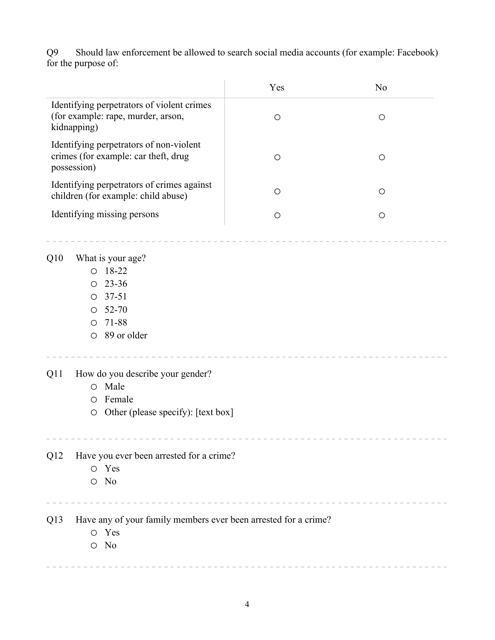Should law enforcement be allowed to search social media accounts (for example: Facebook) Q9 Should law<br>for the purpose of:

|                                                                                                                                                                                                                    |                                                                                                                                     | Yes        | N <sub>o</sub> |
|--------------------------------------------------------------------------------------------------------------------------------------------------------------------------------------------------------------------|-------------------------------------------------------------------------------------------------------------------------------------|------------|----------------|
|                                                                                                                                                                                                                    | Identifying perpetrators of violent crimes<br>(for example: rape, murder, arson,<br>kidnapping)                                     | $\circ$    | $\circ$        |
| Identifying perpetrators of non-violent<br>crimes (for example: car theft, drug<br>possession)<br>Identifying perpetrators of crimes against<br>children (for example: child abuse)<br>Identifying missing persons |                                                                                                                                     | $\bigcirc$ | $\circ$        |
|                                                                                                                                                                                                                    |                                                                                                                                     | $\circ$    | $\circ$        |
|                                                                                                                                                                                                                    |                                                                                                                                     | $\circ$    | $\circ$        |
| Q10                                                                                                                                                                                                                | What is your age?<br>$O$ 18-22<br>23-36<br>$\circ$<br>$37 - 51$<br>$\circ$<br>52-70<br>$\circ$<br>71-88<br>$\circ$<br>O 89 or older |            |                |
| Q11                                                                                                                                                                                                                | How do you describe your gender?<br>Male<br>$\circ$<br>Female<br>$\circ$<br>Other (please specify): [text box]<br>$\bigcirc$        |            |                |
| Q12                                                                                                                                                                                                                | Have you ever been arrested for a crime?<br>O Yes<br>O No                                                                           |            |                |
| Q13                                                                                                                                                                                                                | Have any of your family members ever been arrested for a crime?<br>O Yes<br>$O$ No                                                  |            |                |
|                                                                                                                                                                                                                    |                                                                                                                                     |            |                |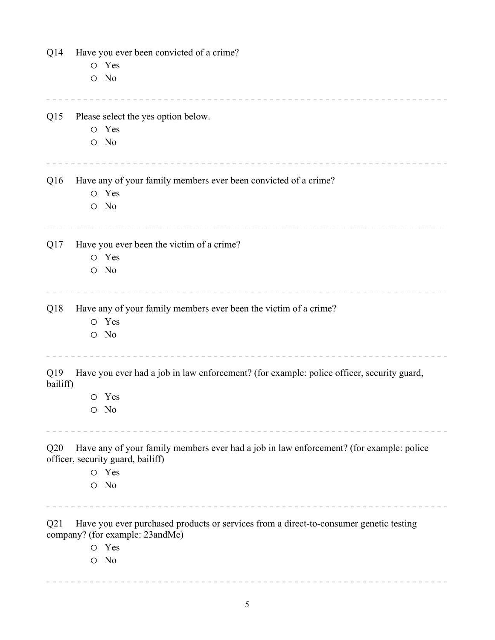| Q14             | Have you ever been convicted of a crime?                                                                                     |  |  |
|-----------------|------------------------------------------------------------------------------------------------------------------------------|--|--|
|                 | O Yes                                                                                                                        |  |  |
|                 | $O$ No                                                                                                                       |  |  |
| Q15             | Please select the yes option below.                                                                                          |  |  |
|                 | O Yes                                                                                                                        |  |  |
|                 | $O$ No                                                                                                                       |  |  |
| Q <sub>16</sub> | Have any of your family members ever been convicted of a crime?                                                              |  |  |
|                 | O Yes                                                                                                                        |  |  |
|                 | $\circ$ No                                                                                                                   |  |  |
| Q17             | Have you ever been the victim of a crime?                                                                                    |  |  |
|                 | O Yes                                                                                                                        |  |  |
|                 | $\circ$ No                                                                                                                   |  |  |
| Q <sub>18</sub> | Have any of your family members ever been the victim of a crime?                                                             |  |  |
|                 | O Yes                                                                                                                        |  |  |
|                 | $\circ$ No                                                                                                                   |  |  |
| Q19<br>bailiff) | Have you ever had a job in law enforcement? (for example: police officer, security guard,                                    |  |  |
|                 | O Yes                                                                                                                        |  |  |
|                 | $\circ$ No                                                                                                                   |  |  |
| Q20             | Have any of your family members ever had a job in law enforcement? (for example: police<br>officer, security guard, bailiff) |  |  |
|                 | O Yes                                                                                                                        |  |  |
|                 | $\circ$ No                                                                                                                   |  |  |
| Q21             | Have you ever purchased products or services from a direct-to-consumer genetic testing<br>company? (for example: 23andMe)    |  |  |
|                 | O Yes                                                                                                                        |  |  |
|                 | $\circ$ No                                                                                                                   |  |  |
|                 |                                                                                                                              |  |  |